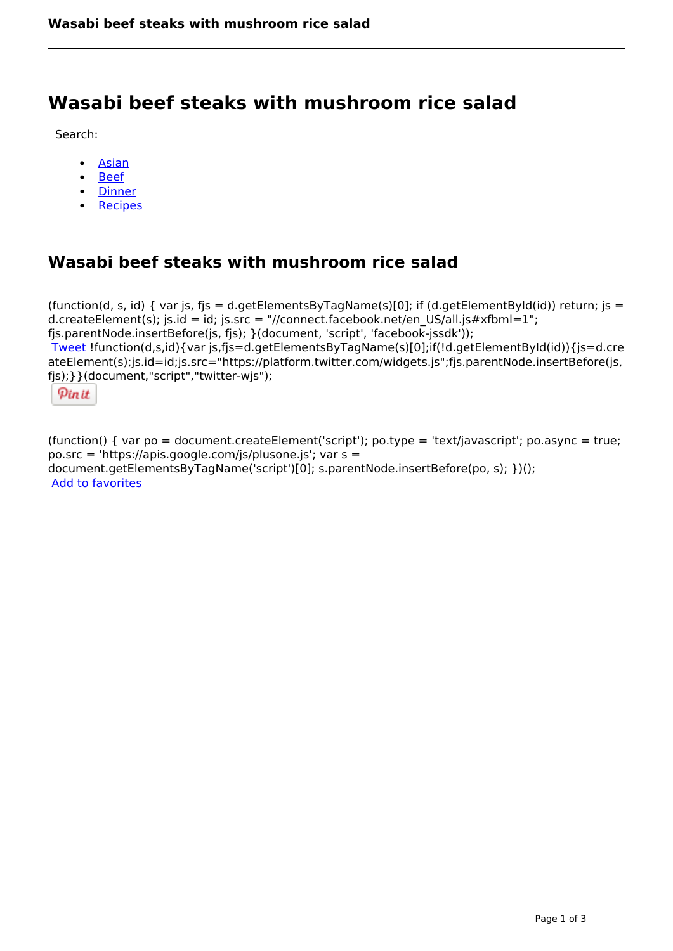## **Wasabi beef steaks with mushroom rice salad**

Search:

- [Asian](https://www.naturalhealthmag.com.au/nourish/asian)
- [Beef](https://www.naturalhealthmag.com.au/nourish/beef)
- [Dinner](https://www.naturalhealthmag.com.au/nourish/dinner-ideas)
- [Recipes](https://www.naturalhealthmag.com.au/nourish/recipes)

## **Wasabi beef steaks with mushroom rice salad**

(function(d, s, id) { var js, fjs = d.getElementsByTagName(s)[0]; if (d.getElementById(id)) return; js = d.createElement(s); js.id = id; js.src = "//connect.facebook.net/en\_US/all.js#xfbml=1"; fjs.parentNode.insertBefore(js, fjs); }(document, 'script', 'facebook-jssdk')); [Tweet](https://twitter.com/share) !function(d,s,id){var js,fjs=d.getElementsByTagName(s)[0];if(!d.getElementById(id)){js=d.cre ateElement(s);js.id=id;js.src="https://platform.twitter.com/widgets.js";fjs.parentNode.insertBefore(js, fjs);}}(document,"script","twitter-wjs");

Pinit

(function() { var po = document.createElement('script'); po.type = 'text/javascript'; po.async = true; po.src = 'https://apis.google.com/js/plusone.js'; var s = document.getElementsByTagName('script')[0]; s.parentNode.insertBefore(po, s); })(); Add to favorites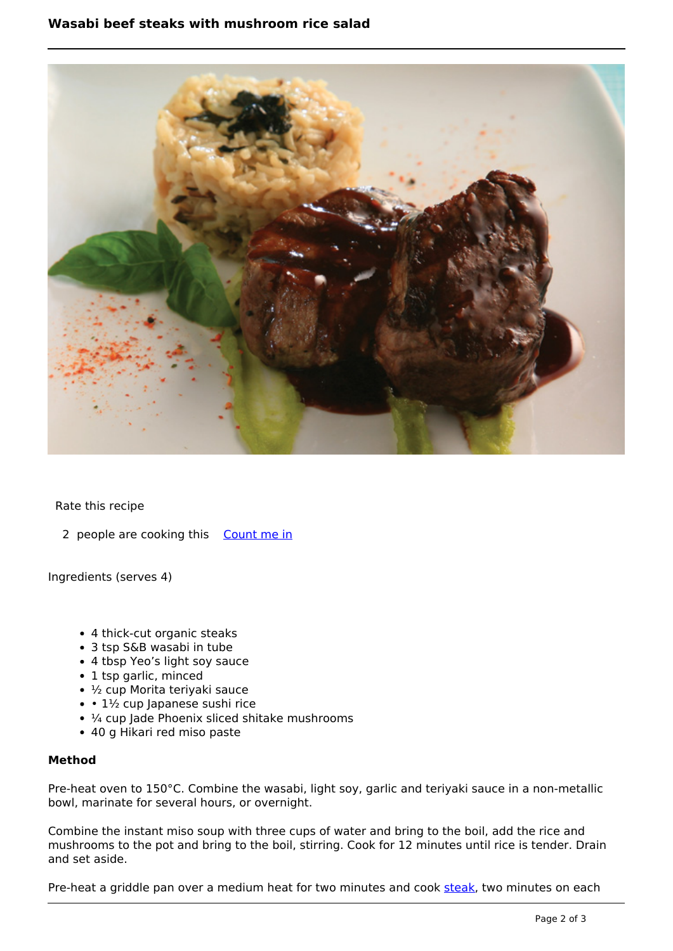

Rate this recipe

2 people are cooking this [Count me in](https://www.naturalhealthmag.com.au/flag/flag/favorites/712?destination=printpdf%2F712&token=562a432606fcfa5dbff47bc5e2ed3e75)

Ingredients (serves 4)

- 4 thick-cut organic steaks
- 3 tsp S&B wasabi in tube
- 4 tbsp Yeo's light soy sauce
- 1 tsp garlic, minced
- ½ cup Morita teriyaki sauce
- $\cdot \cdot 1\frac{1}{2}$  cup Japanese sushi rice
- $\frac{1}{4}$  cup Jade Phoenix sliced shitake mushrooms
- 40 g Hikari red miso paste

## **Method**

Pre-heat oven to 150°C. Combine the wasabi, light soy, garlic and teriyaki sauce in a non-metallic bowl, marinate for several hours, or overnight.

Combine the instant miso soup with three cups of water and bring to the boil, add the rice and mushrooms to the pot and bring to the boil, stirring. Cook for 12 minutes until rice is tender. Drain and set aside.

Pre-heat a griddle pan over a medium heat for two minutes and cook [steak](http://www.naturalhealthmag.com.au/search/node?theme=nourish&keys=steak), two minutes on each